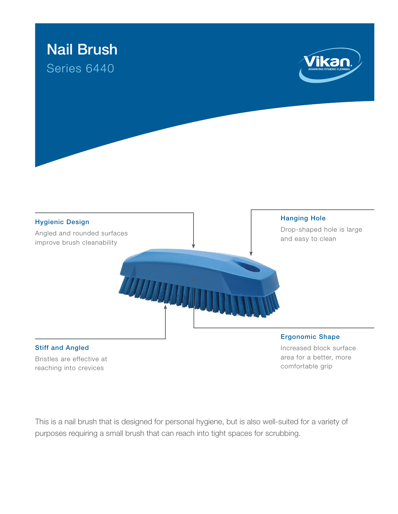

## Stiff and Angled

Bristles are effective at reaching into crevices

## Ergonomic Shape

Increased block surface area for a better, more comfortable grip

This is a nail brush that is designed for personal hygiene, but is also well-suited for a variety of purposes requiring a small brush that can reach into tight spaces for scrubbing.